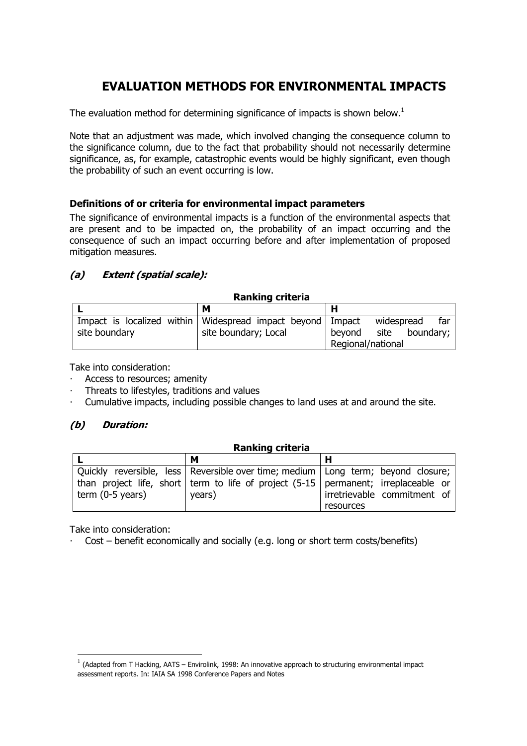# **EVALUATION METHODS FOR ENVIRONMENTAL IMPACTS**

The evaluation method for determining significance of impacts is shown below.<sup>1</sup>

Note that an adjustment was made, which involved changing the consequence column to the significance column, due to the fact that probability should not necessarily determine significance, as, for example, catastrophic events would be highly significant, even though the probability of such an event occurring is low.

#### **Definitions of or criteria for environmental impact parameters**

The significance of environmental impacts is a function of the environmental aspects that are present and to be impacted on, the probability of an impact occurring and the consequence of such an impact occurring before and after implementation of proposed mitigation measures.

### **(a) Extent (spatial scale):**

#### **Ranking criteria**

|               | М                                                              |                          |  |  |
|---------------|----------------------------------------------------------------|--------------------------|--|--|
|               | Impact is localized within   Widespread impact beyond   Impact | far<br>widespread        |  |  |
| site boundary | site boundary; Local                                           | site boundary;<br>bevond |  |  |
|               |                                                                | Regional/national        |  |  |

Take into consideration:

- Access to resources; amenity
- ⋅ Threats to lifestyles, traditions and values
- Cumulative impacts, including possible changes to land uses at and around the site.

### **(b) Duration:**

| <b>Ranking criteria</b> |                                                                                           |                             |  |  |  |  |  |
|-------------------------|-------------------------------------------------------------------------------------------|-----------------------------|--|--|--|--|--|
|                         | м                                                                                         |                             |  |  |  |  |  |
|                         | Quickly reversible, less   Reversible over time; medium   Long term; beyond closure;      |                             |  |  |  |  |  |
|                         | than project life, short   term to life of project $(5-15)$   permanent; irreplaceable or |                             |  |  |  |  |  |
| term $(0-5$ years)      | years)                                                                                    | irretrievable commitment of |  |  |  |  |  |
|                         |                                                                                           | resources                   |  |  |  |  |  |

Take into consideration:

 $\overline{a}$ 

Cost – benefit economically and socially (e.g. long or short term costs/benefits)

 $1$  (Adapted from T Hacking, AATS – Envirolink, 1998: An innovative approach to structuring environmental impact assessment reports. In: IAIA SA 1998 Conference Papers and Notes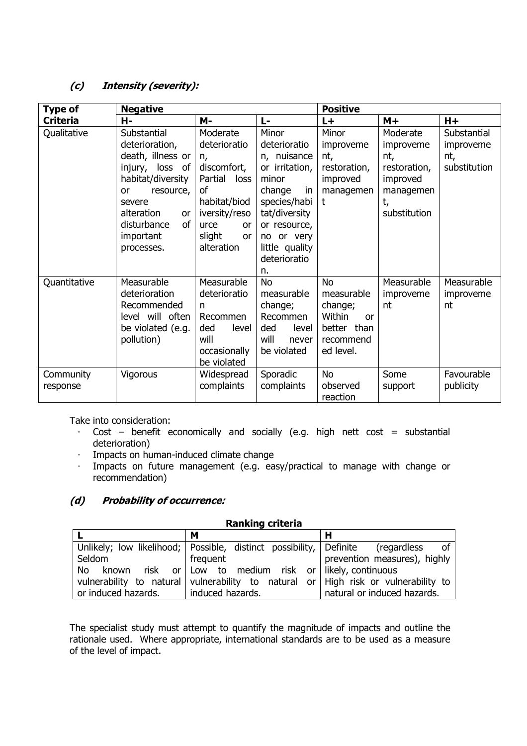### **(c) Intensity (severity):**

| <b>Type of</b>             | <b>Negative</b>         |                                   |                                | <b>Positive</b> |              |              |
|----------------------------|-------------------------|-----------------------------------|--------------------------------|-----------------|--------------|--------------|
| <b>Criteria</b>            | н-                      | <b>M-</b>                         | L-                             | $L +$           | $M+$         | $H+$         |
| Qualitative<br>Substantial |                         | Moderate                          | Minor                          | Minor           | Moderate     | Substantial  |
|                            | deterioration,          | deterioratio                      | deterioratio                   | improveme       | improveme    | improveme    |
|                            | death, illness or       | n,                                | n, nuisance                    | nt,             | nt,          | nt,          |
|                            | injury, loss of         | discomfort,                       | or irritation,                 | restoration,    | restoration, | substitution |
|                            | habitat/diversity       | Partial loss                      | minor                          | improved        | improved     |              |
|                            | resource,<br>or         | of                                | change<br>in                   | managemen       | managemen    |              |
|                            | severe                  | habitat/biod                      | species/habi                   | t               | t,           |              |
|                            | alteration<br><b>or</b> | iversity/reso                     | tat/diversity                  |                 | substitution |              |
|                            | disturbance<br>οf       | urce<br><b>or</b>                 | or resource,                   |                 |              |              |
|                            | important               | slight<br><b>or</b><br>alteration | no or very                     |                 |              |              |
|                            | processes.              |                                   | little quality<br>deterioratio |                 |              |              |
|                            |                         |                                   | n.                             |                 |              |              |
| Quantitative               | Measurable              | Measurable                        | <b>No</b>                      | <b>No</b>       | Measurable   | Measurable   |
|                            | deterioration           | deterioratio                      | measurable                     | measurable      | improveme    | improveme    |
|                            | Recommended             | n                                 | change;                        | change;         | nt           | nt           |
|                            | level will often        | Recommen                          | Recommen                       | Within<br>or    |              |              |
|                            | be violated (e.g.       | ded<br>level                      | ded<br>level                   | better than     |              |              |
|                            | pollution)              | will                              | will<br>never                  | recommend       |              |              |
|                            |                         | occasionally                      | be violated                    | ed level.       |              |              |
|                            |                         | be violated                       |                                |                 |              |              |
| Community                  | Vigorous                | Widespread                        | Sporadic                       | <b>No</b>       | Some         | Favourable   |
| response                   |                         | complaints                        | complaints                     | observed        | support      | publicity    |
|                            |                         |                                   |                                | reaction        |              |              |

Take into consideration:

- ⋅ Cost benefit economically and socially (e.g. high nett cost = substantial deterioration)
- ⋅ Impacts on human-induced climate change
- Impacts on future management (e.g. easy/practical to manage with change or recommendation)

### **(d) Probability of occurrence:**

#### **Ranking criteria**

|                     | м                                                                                  |                              |  |  |
|---------------------|------------------------------------------------------------------------------------|------------------------------|--|--|
|                     | Unlikely; low likelihood; Possible, distinct possibility, Definite (regardless     | of                           |  |  |
| l Seldom            | frequent                                                                           | prevention measures), highly |  |  |
|                     | No known risk or Low to medium risk or likely, continuous                          |                              |  |  |
|                     | vulnerability to natural vulnerability to natural or High risk or vulnerability to |                              |  |  |
| or induced hazards. | induced hazards.                                                                   | natural or induced hazards.  |  |  |

The specialist study must attempt to quantify the magnitude of impacts and outline the rationale used. Where appropriate, international standards are to be used as a measure of the level of impact.